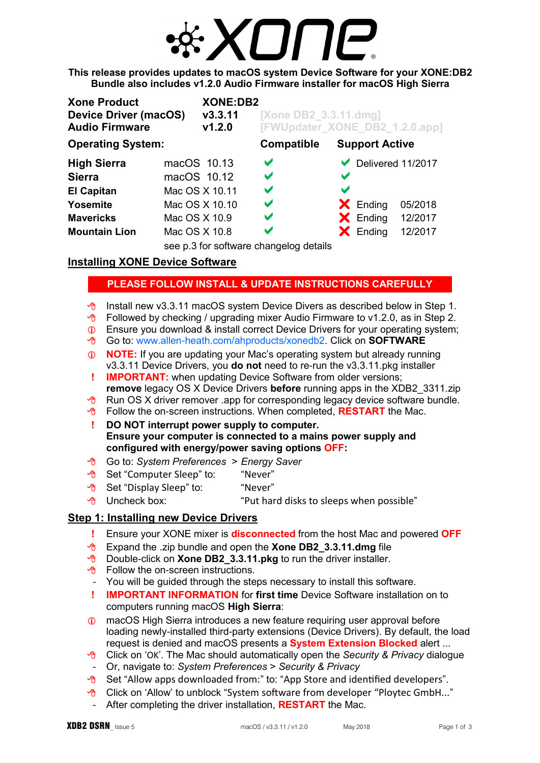

**This release provides updates to macOS system Device Software for your XONE:DB2 Bundle also includes v1.2.0 Audio Firmware installer for macOS High Sierra** 

| <b>Xone Product</b><br><b>Device Driver (macOS)</b><br><b>Audio Firmware</b> |                | <b>XONE:DB2</b><br>V3.3.11<br>V1.2.0 | [Xone DB2 3.3.11.dmg]<br>[FWUpdater_XONE_DB2_1.2.0.app] |                       |                       |                                    |
|------------------------------------------------------------------------------|----------------|--------------------------------------|---------------------------------------------------------|-----------------------|-----------------------|------------------------------------|
| <b>Operating System:</b>                                                     |                |                                      | <b>Compatible</b>                                       |                       | <b>Support Active</b> |                                    |
| <b>High Sierra</b>                                                           | macOS 10.13    |                                      | $\blacktriangledown$                                    |                       |                       | $\triangleright$ Delivered 11/2017 |
| <b>Sierra</b>                                                                | macOS 10.12    |                                      | V                                                       | $\blacktriangleright$ |                       |                                    |
| <b>El Capitan</b>                                                            | Mac OS X 10.11 |                                      | V                                                       | V                     |                       |                                    |
| Yosemite                                                                     | Mac OS X 10.10 |                                      | V                                                       |                       | $\mathsf{X}$ Ending   | 05/2018                            |
| <b>Mavericks</b>                                                             | Mac OS X 10.9  |                                      | $\blacktriangledown$                                    |                       | $\mathsf{X}$ Ending   | 12/2017                            |
| <b>Mountain Lion</b>                                                         | Mac OS X 10.8  |                                      | V                                                       |                       | $\mathsf{X}$ Ending   | 12/2017                            |
|                                                                              |                | $\sim$ $\sim$ $\sim$ $\sim$ $\sim$   | .                                                       |                       |                       |                                    |

see p.3 for software changelog details

# **Installing XONE Device Software**

# **PLEASE FOLLOW INSTALL & UPDATE INSTRUCTIONS CAREFULLY**

- $\sqrt{\theta}$  Install new v3.3.11 macOS system Device Divers as described below in Step 1.
- $\sqrt{6}$  Followed by checking / upgrading mixer Audio Firmware to v1.2.0, as in Step 2.
- Ensure you download & install correct Device Drivers for your operating system;
- Go to: [www.allen-heath.com/ahproducts/xonedb2.](http://www.allen-heath.com/ahproducts/xonedb2/) Click on **SOFTWARE**
- **NOTE:** If you are updating your Mac's operating system but already running v3.3.11 Device Drivers, you **do not** need to re-run the v3.3.11.pkg installer
- **! IMPORTANT:** when updating Device Software from older versions; **remove** legacy OS X Device Drivers **before** running apps in the XDB2\_3311.zip
- $\sqrt{\theta}$  Run OS X driver remover .app for corresponding legacy device software bundle.
- **T** Follow the on-screen instructions. When completed, **RESTART** the Mac.
- **! DO NOT interrupt power supply to computer. Ensure your computer is connected to a mains power supply and configured with energy/power saving options OFF:**
- Go to: *System Preferences* > *Energy Saver*
- **B** Set "Computer Sleep" to: "Never"
- $\bigcirc$  Set "Display Sleep" to: "Never"
- $\Theta$  Uncheck box:  $\Theta$  "Put hard disks to sleeps when possible"

# **Step 1: Installing new Device Drivers**

- **!** Ensure your XONE mixer is **disconnected** from the host Mac and powered **OFF**
- Expand the .zip bundle and open the **Xone DB2\_3.3.11.dmg** file
- **A** Double-click on **Xone DB2** 3.3.11.pkg to run the driver installer.
- $\Theta$  Follow the on-screen instructions.
- You will be guided through the steps necessary to install this software.
- **! IMPORTANT INFORMATION** for **first time** Device Software installation on to computers running macOS **High Sierra**:
- macOS High Sierra introduces a new feature requiring user approval before loading newly-installed third-party extensions (Device Drivers). By default, the load request is denied and macOS presents a **System Extension Blocked** alert ...
- Click on 'OK'. The Mac should automatically open the *Security & Privacy* dialogue
- Or, navigate to: *System Preferences* > *Security & Privacy*
- $\sqrt{6}$  Set "Allow apps downloaded from:" to: "App Store and identified developers".
- <sup>®</sup> Click on 'Allow' to unblock "System software from developer "Ploytec GmbH..."
- After completing the driver installation, **RESTART** the Mac.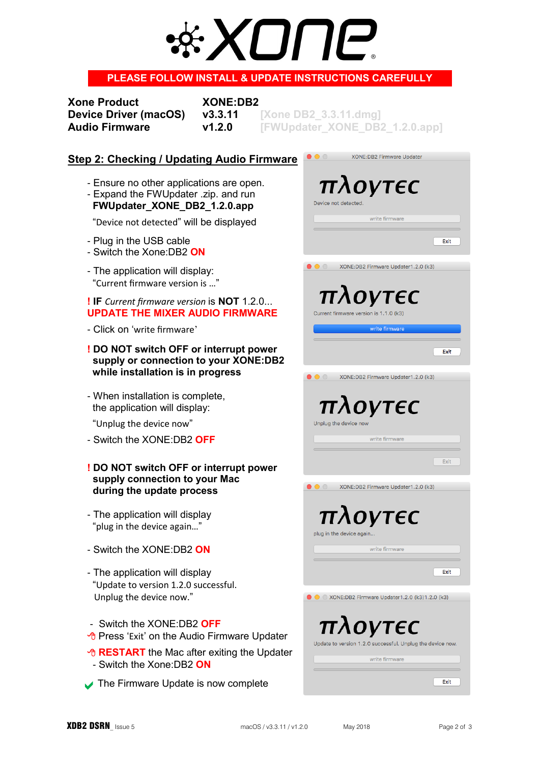# XI II II-®

## **PLEASE FOLLOW INSTALL & UPDATE INSTRUCTIONS CAREFULLY**

**Xone Product XONE:DB2** 

**Device Driver (macOS) v3.3.11** [Xone DB2 3.3.11.dmg] **Audio Firmware v1.2.0 [FWUpdater\_XONE\_DB2\_1.2.0.app]**

## **Step 2: Checking / Updating Audio Firmware**

- Ensure no other applications are open.
- Expand the FWUpdater .zip. and run **FWUpdater\_XONE\_DB2\_1.2.0.app**

"Device not detected" will be displayed

- Plug in the USB cable
- Switch the Xone:DB2 **ON**
- The application will display: "Current firmware version is …"

#### **! IF** *Current firmware version* is **NOT** 1.2.0... **UPDATE THE MIXER AUDIO FIRMWARE**

- Click on 'write firmware'

#### **! DO NOT switch OFF or interrupt power supply or connection to your XONE:DB2 while installation is in progress**

- When installation is complete, the application will display:

"Unplug the device now"

- Switch the XONE:DB2 **OFF**

#### **! DO NOT switch OFF or interrupt power supply connection to your Mac during the update process**

- The application will display "plug in the device again…"
- Switch the XONE:DB2 **ON**
- The application will display "Update to version 1.2.0 successful. Unplug the device now."

#### - Switch the XONE:DB2 **OFF**

- <sup><sup>®</sup> Press 'Exit' on the Audio Firmware Updater</sup>
- *A* **RESTART** the Mac after exiting the Updater - Switch the Xone:DB2 **ON**
- The Firmware Update is now complete

| $\circ$ $\circ$<br><b>XONE:DB2 Firmware Updater</b>             |
|-----------------------------------------------------------------|
|                                                                 |
|                                                                 |
| $\pi\lambda$ OVTEC                                              |
| Device not detected.                                            |
|                                                                 |
| write firmware                                                  |
|                                                                 |
| Exit                                                            |
|                                                                 |
| XONE:DB2 Firmware Updater1.2.0 (k3)<br>$\circ$ $\circ$          |
|                                                                 |
|                                                                 |
| πλογτες                                                         |
| Current firmware version is 1.1.0 (k3)                          |
|                                                                 |
| write firmware                                                  |
|                                                                 |
| Exit                                                            |
|                                                                 |
| XONE:DB2 Firmware Updater1.2.0 (k3)<br>$\bigcirc$               |
|                                                                 |
|                                                                 |
| πλογτες                                                         |
| Unplug the device now                                           |
|                                                                 |
| write firmware                                                  |
|                                                                 |
| Exit                                                            |
|                                                                 |
| XONE:DB2 Firmware Updater1.2.0 (k3)<br>$\circ$ $\circ$ $\qquad$ |
|                                                                 |
| $\pi\lambda$ OVTEC                                              |
|                                                                 |
| plug in the device again                                        |
| write firmware                                                  |
|                                                                 |
| Exit                                                            |
|                                                                 |
|                                                                 |
| XONE:DB2 Firmware Updater1.2.0 (k3)1.2.0 (k3)                   |
|                                                                 |
|                                                                 |
|                                                                 |
| πλογτες                                                         |
| Update to version 1.2.0 successful. Unplug the device now.      |
|                                                                 |
| write firmware                                                  |